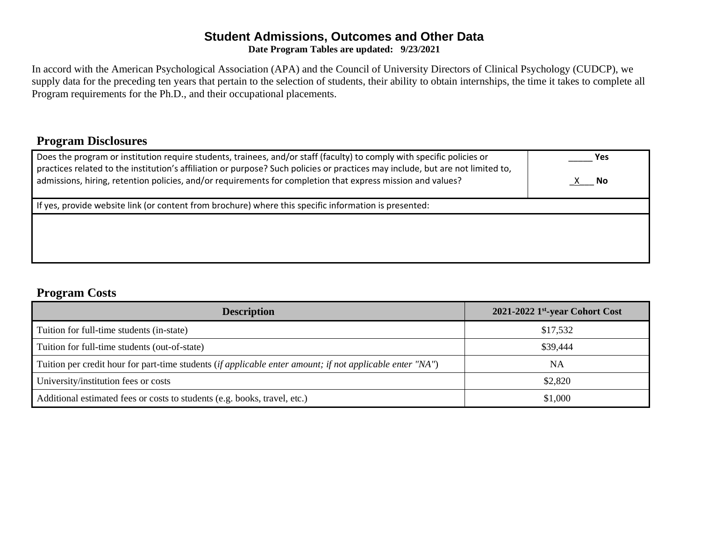#### **Student Admissions, Outcomes and Other Data Date Program Tables are updated: 9/23/2021**

In accord with the American Psychological Association (APA) and the Council of University Directors of Clinical Psychology (CUDCP), we supply data for the preceding ten years that pertain to the selection of students, their ability to obtain internships, the time it takes to complete all Program requirements for the Ph.D., and their occupational placements.

## **Program Disclosures**

| Does the program or institution require students, trainees, and/or staff (faculty) to comply with specific policies or<br>practices related to the institution's affiliation or purpose? Such policies or practices may include, but are not limited to,<br>admissions, hiring, retention policies, and/or requirements for completion that express mission and values? | <b>Yes</b><br>X No |
|-------------------------------------------------------------------------------------------------------------------------------------------------------------------------------------------------------------------------------------------------------------------------------------------------------------------------------------------------------------------------|--------------------|
| If yes, provide website link (or content from brochure) where this specific information is presented:                                                                                                                                                                                                                                                                   |                    |
|                                                                                                                                                                                                                                                                                                                                                                         |                    |

### **Program Costs**

| <b>Description</b>                                                                                        | $2021 - 2022$ 1st-year Cohort Cost |
|-----------------------------------------------------------------------------------------------------------|------------------------------------|
| Tuition for full-time students (in-state)                                                                 | \$17,532                           |
| Tuition for full-time students (out-of-state)                                                             | \$39,444                           |
| Tuition per credit hour for part-time students (if applicable enter amount; if not applicable enter "NA") | NΑ                                 |
| University/institution fees or costs                                                                      | \$2,820                            |
| Additional estimated fees or costs to students (e.g. books, travel, etc.)                                 | \$1,000                            |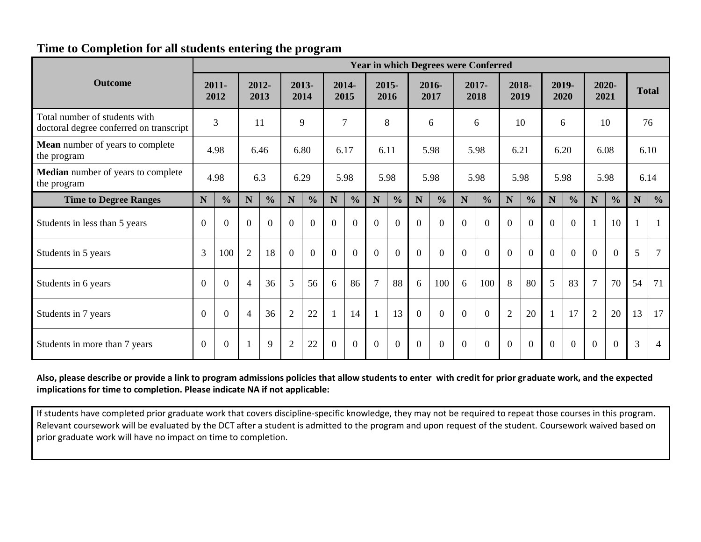## **Time to Completion for all students entering the program**

|                                                                          | <b>Year in which Degrees were Conferred</b> |                |                |               |                |               |                |                |                |               |             |                |             |                |                |                |          |                |                |                |             |                |
|--------------------------------------------------------------------------|---------------------------------------------|----------------|----------------|---------------|----------------|---------------|----------------|----------------|----------------|---------------|-------------|----------------|-------------|----------------|----------------|----------------|----------|----------------|----------------|----------------|-------------|----------------|
| <b>Outcome</b>                                                           |                                             | 2011-<br>2012  |                | 2012-<br>2013 |                | 2013-<br>2014 |                | 2014-<br>2015  |                | 2015-<br>2016 |             | 2016-<br>2017  |             | 2017-<br>2018  |                | 2018-<br>2019  |          | 2019-<br>2020  | 2021           | 2020-          |             | <b>Total</b>   |
| Total number of students with<br>doctoral degree conferred on transcript |                                             | 3              |                | 11            |                | 9             |                | $\overline{7}$ |                | 8             |             | 6              |             | 6              |                | 10             |          | 6              |                | 10             |             | 76             |
| <b>Mean</b> number of years to complete<br>the program                   |                                             | 4.98           |                | 6.46          |                | 6.80          |                | 6.17           |                | 6.11          |             | 5.98           |             | 5.98           |                | 6.21           |          | 6.20           |                | 6.08           |             | 6.10           |
| <b>Median</b> number of years to complete<br>the program                 |                                             | 4.98           |                | 6.3           |                | 6.29          |                | 5.98           |                | 5.98          |             | 5.98           |             | 5.98           |                | 5.98           |          | 5.98           |                | 5.98           |             | 6.14           |
| <b>Time to Degree Ranges</b>                                             | N                                           | $\frac{0}{0}$  | N              | $\frac{0}{0}$ | N              | $\frac{0}{0}$ | N              | $\frac{0}{0}$  | $\mathbf N$    | $\frac{0}{0}$ | $\mathbf N$ | $\frac{0}{0}$  | $\mathbf N$ | $\frac{0}{0}$  | $\mathbf N$    | $\frac{0}{0}$  | N        | $\frac{0}{0}$  | $\mathbf N$    | $\frac{0}{0}$  | $\mathbf N$ | $\frac{0}{0}$  |
| Students in less than 5 years                                            | $\overline{0}$                              | $\Omega$       | $\theta$       | $\Omega$      | $\Omega$       | $\Omega$      | $\Omega$       | $\Omega$       | $\Omega$       | $\Omega$      | $\Omega$    | $\Omega$       | $\Omega$    | $\overline{0}$ | $\Omega$       | $\theta$       | $\theta$ | $\overline{0}$ | $\mathbf{1}$   | 10             |             | $\mathbf{1}$   |
| Students in 5 years                                                      | 3                                           | 100            | $\overline{2}$ | 18            | $\Omega$       | $\theta$      | $\Omega$       | $\Omega$       | $\theta$       | $\theta$      | $\Omega$    | $\Omega$       | $\Omega$    | $\overline{0}$ | $\theta$       | $\overline{0}$ | $\theta$ | $\overline{0}$ | $\theta$       | $\overline{0}$ | 5           | $\overline{7}$ |
| Students in 6 years                                                      | $\overline{0}$                              | $\overline{0}$ | $\overline{4}$ | 36            | 5              | 56            | 6              | 86             | $\overline{7}$ | 88            | 6           | 100            | 6           | 100            | 8              | 80             | 5        | 83             | $\overline{7}$ | 70             | 54          | 71             |
| Students in 7 years                                                      | $\Omega$                                    | $\theta$       | $\overline{4}$ | 36            | $\overline{2}$ | 22            |                | 14             |                | 13            | $\Omega$    | $\overline{0}$ | $\Omega$    | $\overline{0}$ | $\overline{2}$ | 20             | 1        | 17             | $\overline{2}$ | 20             | 13          | 17             |
| Students in more than 7 years                                            | $\Omega$                                    | $\Omega$       |                | 9             | $\overline{2}$ | 22            | $\overline{0}$ | $\theta$       | $\Omega$       | $\Omega$      | $\Omega$    | $\Omega$       | $\Omega$    | $\overline{0}$ | $\Omega$       | $\Omega$       | $\Omega$ | $\overline{0}$ | $\Omega$       | $\Omega$       | 3           | $\overline{4}$ |

#### **Also, please describe or provide a link to program admissions policies that allow students to enter with credit for prior graduate work, and the expected implications for time to completion. Please indicate NA if not applicable:**

If students have completed prior graduate work that covers discipline-specific knowledge, they may not be required to repeat those courses in this program. Relevant coursework will be evaluated by the DCT after a student is admitted to the program and upon request of the student. Coursework waived based on prior graduate work will have no impact on time to completion.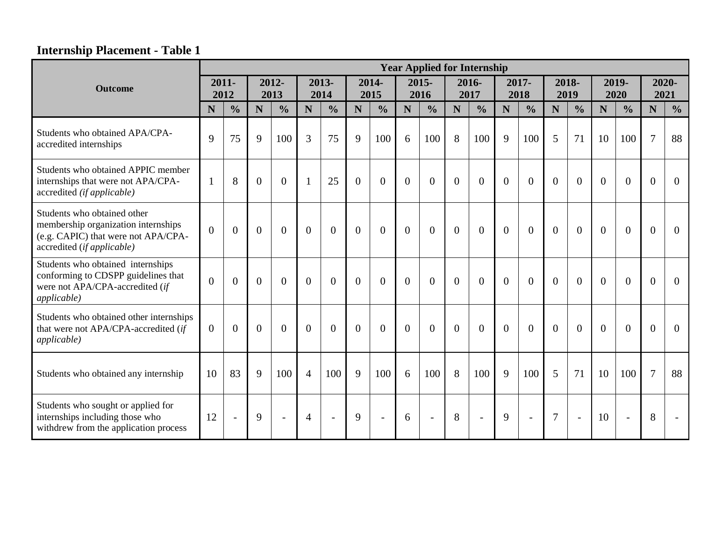# **Internship Placement - Table 1**

|                                                                                                                                         | <b>Year Applied for Internship</b> |                  |                |                          |                |                |                |                |                |                  |                |                |               |                |                |                |          |                |                |                          |
|-----------------------------------------------------------------------------------------------------------------------------------------|------------------------------------|------------------|----------------|--------------------------|----------------|----------------|----------------|----------------|----------------|------------------|----------------|----------------|---------------|----------------|----------------|----------------|----------|----------------|----------------|--------------------------|
| <b>Outcome</b>                                                                                                                          |                                    | $2011 -$<br>2012 |                | 2012-<br>2013            |                | 2013-<br>2014  |                | 2014-<br>2015  |                | $2015 -$<br>2016 | 2016-<br>2017  |                | 2017-<br>2018 |                | 2018-<br>2019  |                |          | 2019-<br>2020  |                | 2020-<br>2021            |
|                                                                                                                                         | N                                  | $\frac{0}{0}$    | N              | $\frac{0}{0}$            | N              | $\frac{0}{0}$  | N              | $\frac{0}{0}$  | N              | $\frac{0}{0}$    | N              | $\frac{0}{0}$  | N             | $\frac{0}{0}$  | N              | $\frac{0}{0}$  | N        | $\frac{0}{0}$  | N              | $\frac{0}{0}$            |
| Students who obtained APA/CPA-<br>accredited internships                                                                                | 9                                  | 75               | 9              | 100                      | 3              | 75             | 9              | 100            | 6              | 100              | 8              | 100            | 9             | 100            | 5              | 71             | 10       | 100            | $\overline{7}$ | 88                       |
| Students who obtained APPIC member<br>internships that were not APA/CPA-<br>accredited (if applicable)                                  | $\mathbf{1}$                       | 8                | $\overline{0}$ | $\overline{0}$           |                | 25             | $\overline{0}$ | $\overline{0}$ | $\theta$       | $\Omega$         | $\overline{0}$ | $\overline{0}$ | $\Omega$      | $\overline{0}$ | $\Omega$       | $\overline{0}$ | $\Omega$ | $\overline{0}$ | $\overline{0}$ | $\overline{0}$           |
| Students who obtained other<br>membership organization internships<br>(e.g. CAPIC) that were not APA/CPA-<br>accredited (if applicable) | $\Omega$                           | $\overline{0}$   | $\overline{0}$ | $\overline{0}$           | $\theta$       | $\overline{0}$ | $\mathbf{0}$   | $\theta$       | $\overline{0}$ | $\overline{0}$   | $\overline{0}$ | $\overline{0}$ | $\Omega$      | $\overline{0}$ | $\overline{0}$ | $\theta$       | $\theta$ | $\overline{0}$ | $\overline{0}$ | $\overline{0}$           |
| Students who obtained internships<br>conforming to CDSPP guidelines that<br>were not APA/CPA-accredited (if<br>applicable)              | $\theta$                           | $\overline{0}$   | $\overline{0}$ | $\overline{0}$           | $\theta$       | $\overline{0}$ | $\overline{0}$ | $\Omega$       | $\theta$       | $\Omega$         | $\Omega$       | $\overline{0}$ | $\theta$      | $\overline{0}$ | $\overline{0}$ | $\theta$       | $\Omega$ | $\overline{0}$ | $\overline{0}$ | $\overline{0}$           |
| Students who obtained other internships<br>that were not APA/CPA-accredited (if<br><i>applicable</i> )                                  | $\Omega$                           | $\theta$         | $\Omega$       | $\theta$                 | $\Omega$       | $\Omega$       | $\Omega$       | $\theta$       | $\Omega$       | $\theta$         | $\Omega$       | $\Omega$       | $\Omega$      | $\Omega$       | $\Omega$       | $\Omega$       | $\Omega$ | $\theta$       | $\Omega$       | $\theta$                 |
| Students who obtained any internship                                                                                                    | 10                                 | 83               | 9              | 100                      | $\overline{4}$ | 100            | 9              | 100            | 6              | 100              | 8              | 100            | 9             | 100            | 5              | 71             | 10       | 100            | $\overline{7}$ | 88                       |
| Students who sought or applied for<br>internships including those who<br>withdrew from the application process                          | 12                                 | $\overline{a}$   | $\mathbf Q$    | $\overline{\phantom{a}}$ | $\overline{4}$ | $\sim$         | $\mathbf{Q}$   | $\blacksquare$ | 6              | $\blacksquare$   | 8              | $\sim$         | 9             | $\blacksquare$ | $\overline{7}$ | $\sim$         | 10       | $\blacksquare$ | 8              | $\overline{\phantom{a}}$ |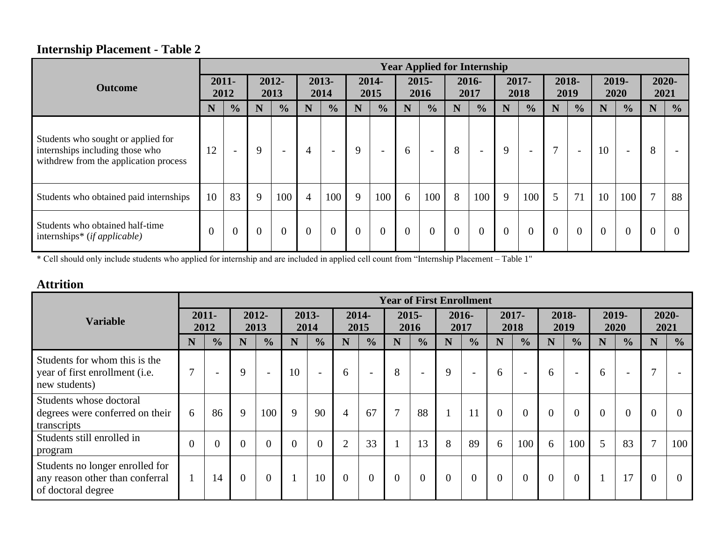# **Internship Placement - Table 2**

|                                                                                                                |                  |                          |                |                          |                |                          |                |                          |               | <b>Year Applied for Internship</b> |                |                          |                |                          |                |                          |                |                          |                |                          |
|----------------------------------------------------------------------------------------------------------------|------------------|--------------------------|----------------|--------------------------|----------------|--------------------------|----------------|--------------------------|---------------|------------------------------------|----------------|--------------------------|----------------|--------------------------|----------------|--------------------------|----------------|--------------------------|----------------|--------------------------|
| <b>Outcome</b>                                                                                                 | $2011 -$<br>2012 |                          | 2012-<br>2013  |                          | 2013-<br>2014  |                          | 2014-<br>2015  |                          | 2015-<br>2016 |                                    | 2016-<br>2017  |                          | 2017-<br>2018  |                          | 2018-<br>2019  |                          | 2019-<br>2020  |                          | 2021           | 2020-                    |
|                                                                                                                | N                | $\frac{0}{0}$            | N              | $\frac{0}{0}$            | N              | $\frac{0}{0}$            | N              | $\frac{0}{0}$            | N             | $\frac{0}{0}$                      | N              | $\frac{0}{0}$            | N              | $\frac{0}{0}$            | N              | $\frac{0}{0}$            | N              | $\frac{1}{2}$            | N              | $\frac{0}{0}$            |
| Students who sought or applied for<br>internships including those who<br>withdrew from the application process | 12               | $\overline{\phantom{a}}$ | 9              | $\overline{\phantom{0}}$ | 4              | $\overline{\phantom{a}}$ | 9              | $\overline{\phantom{a}}$ | 6             | $\overline{\phantom{0}}$           | 8              | $\overline{\phantom{a}}$ | 9              | $\overline{\phantom{a}}$ | $\mathcal{L}$  | $\overline{\phantom{a}}$ | 10             | $\overline{\phantom{0}}$ | 8              | $\overline{\phantom{a}}$ |
| Students who obtained paid internships                                                                         | 10               | 83                       | 9              | 100                      | $\overline{4}$ | 100                      | 9              | 100                      | 6             | 100                                | 8              | 100                      | 9              | 100                      | 5              | 71                       | 10             | 100                      | $\overline{7}$ | 88                       |
| Students who obtained half-time<br>internships* $(ifappliedble)$                                               |                  | $\overline{0}$           | $\overline{0}$ | $\mathbf{0}$             | $\overline{0}$ | $\overline{0}$           | $\overline{0}$ | $\overline{0}$           |               | $\theta$                           | $\overline{0}$ | $\overline{0}$           | $\overline{0}$ |                          | $\overline{0}$ | $\overline{0}$           | $\overline{0}$ | $\theta$                 | $\overline{0}$ | $\theta$                 |

\* Cell should only include students who applied for internship and are included in applied cell count from "Internship Placement – Table 1"

## **Attrition**

|                                                                                          | <b>Year of First Enrollment</b> |                  |                |                |    |                          |                |                          |                |                          |              |                          |                |                          |          |                          |          |               |              |                |
|------------------------------------------------------------------------------------------|---------------------------------|------------------|----------------|----------------|----|--------------------------|----------------|--------------------------|----------------|--------------------------|--------------|--------------------------|----------------|--------------------------|----------|--------------------------|----------|---------------|--------------|----------------|
| <b>Variable</b>                                                                          |                                 | $2011 -$<br>2012 |                | 2012-<br>2013  |    | 2013-<br>2014            |                | 2014-<br>2015            |                | $2015 -$<br>2016         | 2017         | 2016-                    |                | 2017-<br>2018            |          | 2018-<br>2019            |          | 2019-<br>2020 |              | 2020-<br>2021  |
|                                                                                          | N                               | $\frac{0}{0}$    | N              | $\frac{0}{0}$  | N  | $\frac{0}{0}$            | N              | $\frac{0}{0}$            | N              | $\frac{0}{0}$            | N            | $\frac{0}{0}$            | N              | $\frac{0}{0}$            | N        | $\frac{0}{0}$            | N        | $\frac{1}{2}$ | N            | $\frac{0}{0}$  |
| Students for whom this is the<br>year of first enrollment (i.e.<br>new students)         | $\tau$                          |                  | 9              |                | 10 | $\overline{\phantom{0}}$ | 6              | $\overline{\phantom{a}}$ | 8              | $\overline{\phantom{a}}$ | 9            | $\overline{\phantom{a}}$ | 6              | $\overline{\phantom{0}}$ | 6        | $\overline{\phantom{0}}$ | 6        | <b>1999</b>   | $\mathbf{r}$ |                |
| Students whose doctoral<br>degrees were conferred on their<br>transcripts                | 6                               | 86               | 9              | 100            | 9  | 90                       | 4              | 67                       | $\mathbf{z}$   | 88                       | $\mathbf{1}$ | 11                       | $\overline{0}$ | $\overline{0}$           | $\theta$ | $\theta$                 | $\theta$ | $\theta$      | $\Omega$     | $\theta$       |
| Students still enrolled in<br>program                                                    | $\theta$                        | $\theta$         | $\theta$       |                |    | $\Omega$                 | $\overline{2}$ | 33                       |                | 13                       | 8            | 89                       | 6              | 100                      | 6        | 100                      | 5        | 83            | $\mathbf{r}$ | 100            |
| Students no longer enrolled for<br>any reason other than conferral<br>of doctoral degree |                                 | 14               | $\overline{0}$ | $\overline{0}$ |    | 10                       | $\Omega$       | $\overline{0}$           | $\overline{0}$ | $\overline{0}$           | $\theta$     | $\overline{0}$           | $\overline{0}$ | $\overline{0}$           | $\theta$ |                          |          | 17            | $\theta$     | $\overline{0}$ |